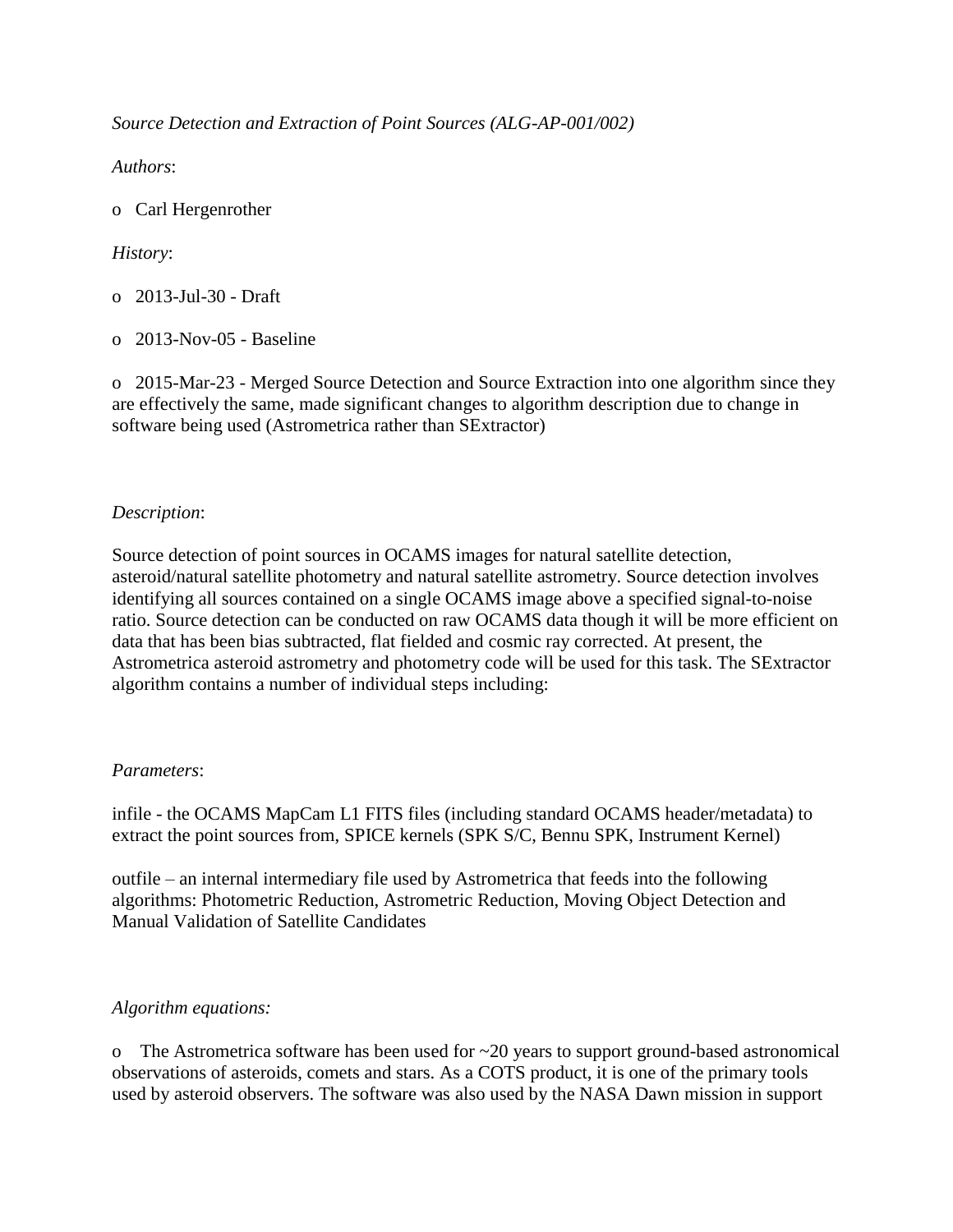*Source Detection and Extraction of Point Sources (ALG-AP-001/002)*

*Authors*:

o Carl Hergenrother

# *History*:

- o 2013-Jul-30 Draft
- o 2013-Nov-05 Baseline

o 2015-Mar-23 - Merged Source Detection and Source Extraction into one algorithm since they are effectively the same, made significant changes to algorithm description due to change in software being used (Astrometrica rather than SExtractor)

## *Description*:

Source detection of point sources in OCAMS images for natural satellite detection, asteroid/natural satellite photometry and natural satellite astrometry. Source detection involves identifying all sources contained on a single OCAMS image above a specified signal-to-noise ratio. Source detection can be conducted on raw OCAMS data though it will be more efficient on data that has been bias subtracted, flat fielded and cosmic ray corrected. At present, the Astrometrica asteroid astrometry and photometry code will be used for this task. The SExtractor algorithm contains a number of individual steps including:

## *Parameters*:

infile - the OCAMS MapCam L1 FITS files (including standard OCAMS header/metadata) to extract the point sources from, SPICE kernels (SPK S/C, Bennu SPK, Instrument Kernel)

outfile – an internal intermediary file used by Astrometrica that feeds into the following algorithms: Photometric Reduction, Astrometric Reduction, Moving Object Detection and Manual Validation of Satellite Candidates

## *Algorithm equations:*

o The Astrometrica software has been used for ~20 years to support ground-based astronomical observations of asteroids, comets and stars. As a COTS product, it is one of the primary tools used by asteroid observers. The software was also used by the NASA Dawn mission in support